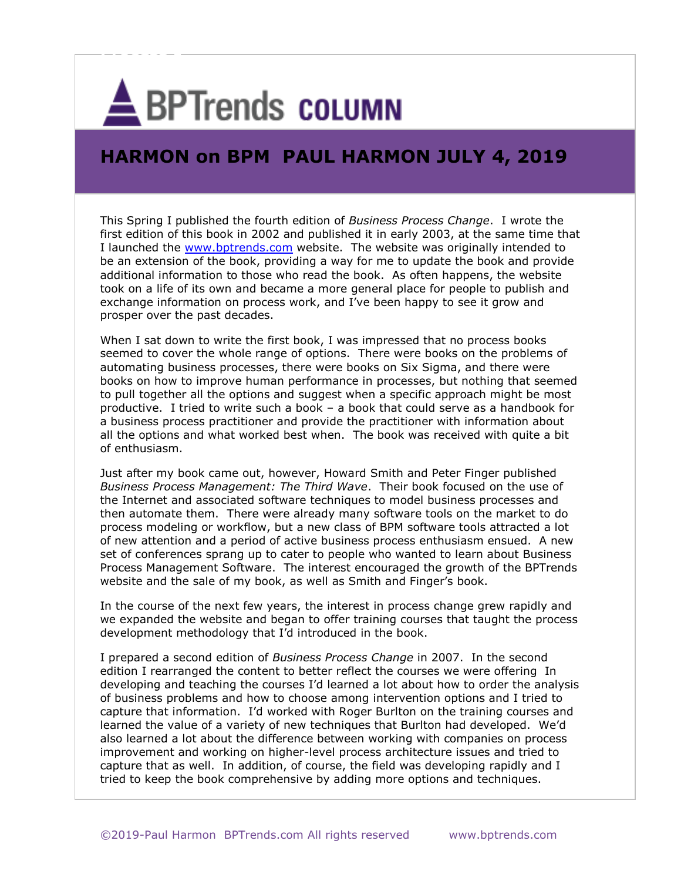## **A**BPTrends COLUMN

**Process I**

## **HARMON on BPM PAUL HARMON JULY 4, 2019**

This Spring I published the fourth edition of *Business Process Change*. I wrote the first edition of this book in 2002 and published it in early 2003, at the same time that I launched the [www.bptrends.com](http://www.bptrends.com/) website. The website was originally intended to be an extension of the book, providing a way for me to update the book and provide additional information to those who read the book. As often happens, the website took on a life of its own and became a more general place for people to publish and exchange information on process work, and I've been happy to see it grow and prosper over the past decades.

When I sat down to write the first book, I was impressed that no process books seemed to cover the whole range of options. There were books on the problems of automating business processes, there were books on Six Sigma, and there were books on how to improve human performance in processes, but nothing that seemed to pull together all the options and suggest when a specific approach might be most productive. I tried to write such a book – a book that could serve as a handbook for a business process practitioner and provide the practitioner with information about all the options and what worked best when. The book was received with quite a bit of enthusiasm.

Just after my book came out, however, Howard Smith and Peter Finger published *Business Process Management: The Third Wave*. Their book focused on the use of the Internet and associated software techniques to model business processes and then automate them. There were already many software tools on the market to do process modeling or workflow, but a new class of BPM software tools attracted a lot of new attention and a period of active business process enthusiasm ensued. A new set of conferences sprang up to cater to people who wanted to learn about Business Process Management Software. The interest encouraged the growth of the BPTrends website and the sale of my book, as well as Smith and Finger's book.

In the course of the next few years, the interest in process change grew rapidly and we expanded the website and began to offer training courses that taught the process development methodology that I'd introduced in the book.

I prepared a second edition of *Business Process Change* in 2007. In the second edition I rearranged the content to better reflect the courses we were offering In developing and teaching the courses I'd learned a lot about how to order the analysis of business problems and how to choose among intervention options and I tried to capture that information. I'd worked with Roger Burlton on the training courses and learned the value of a variety of new techniques that Burlton had developed. We'd also learned a lot about the difference between working with companies on process improvement and working on higher-level process architecture issues and tried to capture that as well. In addition, of course, the field was developing rapidly and I tried to keep the book comprehensive by adding more options and techniques.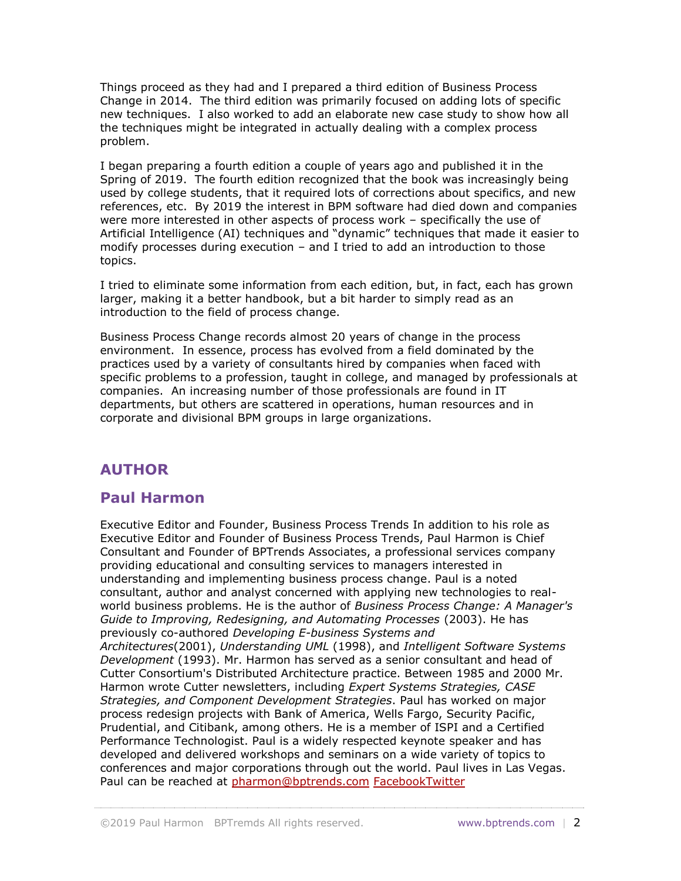Things proceed as they had and I prepared a third edition of Business Process Change in 2014. The third edition was primarily focused on adding lots of specific new techniques. I also worked to add an elaborate new case study to show how all the techniques might be integrated in actually dealing with a complex process problem.

I began preparing a fourth edition a couple of years ago and published it in the Spring of 2019. The fourth edition recognized that the book was increasingly being used by college students, that it required lots of corrections about specifics, and new references, etc. By 2019 the interest in BPM software had died down and companies were more interested in other aspects of process work – specifically the use of Artificial Intelligence (AI) techniques and "dynamic" techniques that made it easier to modify processes during execution – and I tried to add an introduction to those topics.

I tried to eliminate some information from each edition, but, in fact, each has grown larger, making it a better handbook, but a bit harder to simply read as an introduction to the field of process change.

Business Process Change records almost 20 years of change in the process environment. In essence, process has evolved from a field dominated by the practices used by a variety of consultants hired by companies when faced with specific problems to a profession, taught in college, and managed by professionals at companies. An increasing number of those professionals are found in IT departments, but others are scattered in operations, human resources and in corporate and divisional BPM groups in large organizations.

## **AUTHOR**

## **Paul Harmon**

Executive Editor and Founder, Business Process Trends In addition to his role as Executive Editor and Founder of Business Process Trends, Paul Harmon is Chief Consultant and Founder of BPTrends Associates, a professional services company providing educational and consulting services to managers interested in understanding and implementing business process change. Paul is a noted consultant, author and analyst concerned with applying new technologies to realworld business problems. He is the author of *Business Process Change: A Manager's Guide to Improving, Redesigning, and Automating Processes* (2003). He has previously co-authored *Developing E-business Systems and Architectures*(2001), *Understanding UML* (1998), and *Intelligent Software Systems Development* (1993). Mr. Harmon has served as a senior consultant and head of Cutter Consortium's Distributed Architecture practice. Between 1985 and 2000 Mr. Harmon wrote Cutter newsletters, including *Expert Systems Strategies, CASE Strategies, and Component Development Strategies*. Paul has worked on major process redesign projects with Bank of America, Wells Fargo, Security Pacific, Prudential, and Citibank, among others. He is a member of ISPI and a Certified Performance Technologist. Paul is a widely respected keynote speaker and has developed and delivered workshops and seminars on a wide variety of topics to conferences and major corporations through out the world. Paul lives in Las Vegas. Paul can be reached at [pharmon@bptrends.com](mailto:pharmon@bptrends.com) [FacebookTwitter](https://www.bptrends.com/#facebook)